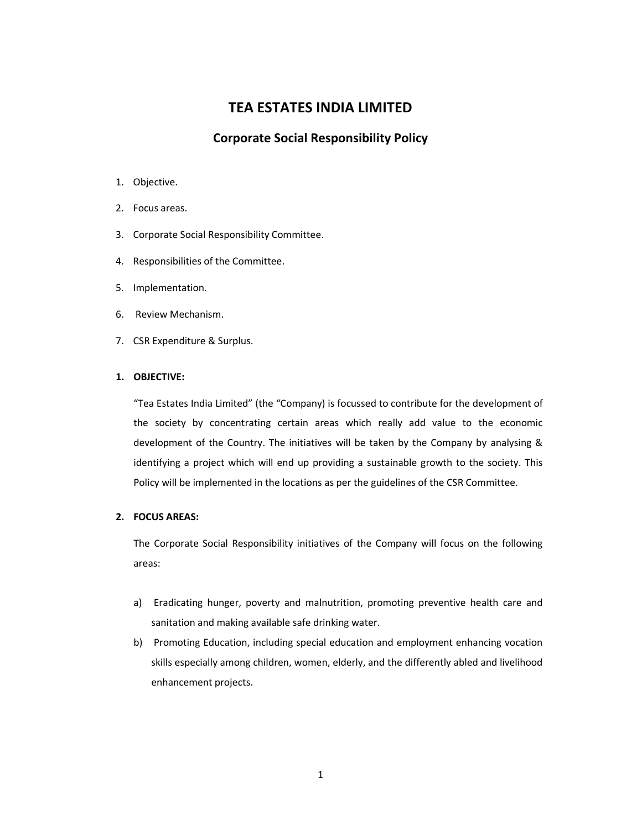# **TEA ESTATES INDIA LIMITED**

# **Corporate Social Responsibility Policy**

- 1. Objective.
- 2. Focus areas.
- 3. Corporate Social Responsibility Committee.
- 4. Responsibilities of the Committee.
- 5. Implementation.
- 6. Review Mechanism.
- 7. CSR Expenditure & Surplus.

# **1. OBJECTIVE:**

"Tea Estates India Limited" (the "Company) is focussed to contribute for the development of the society by concentrating certain areas which really add value to the economic development of the Country. The initiatives will be taken by the Company by analysing & identifying a project which will end up providing a sustainable growth to the society. This Policy will be implemented in the locations as per the guidelines of the CSR Committee.

## **2. FOCUS AREAS:**

The Corporate Social Responsibility initiatives of the Company will focus on the following areas:

- a) Eradicating hunger, poverty and malnutrition, promoting preventive health care and sanitation and making available safe drinking water.
- b) Promoting Education, including special education and employment enhancing vocation skills especially among children, women, elderly, and the differently abled and livelihood enhancement projects.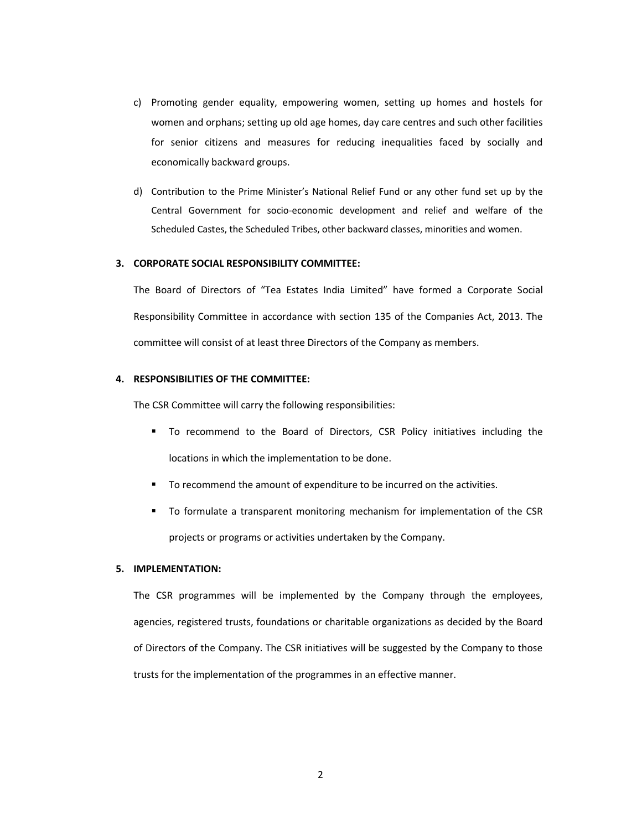- c) Promoting gender equality, empowering women, setting up homes and hostels for women and orphans; setting up old age homes, day care centres and such other facilities for senior citizens and measures for reducing inequalities faced by socially and economically backward groups.
- d) Contribution to the Prime Minister's National Relief Fund or any other fund set up by the Central Government for socio-economic development and relief and welfare of the Scheduled Castes, the Scheduled Tribes, other backward classes, minorities and women.

# **3. CORPORATE SOCIAL RESPONSIBILITY COMMITTEE:**

The Board of Directors of "Tea Estates India Limited" have formed a Corporate Social Responsibility Committee in accordance with section 135 of the Companies Act, 2013. The committee will consist of at least three Directors of the Company as members.

# **4. RESPONSIBILITIES OF THE COMMITTEE:**

The CSR Committee will carry the following responsibilities:

- To recommend to the Board of Directors, CSR Policy initiatives including the locations in which the implementation to be done.
- To recommend the amount of expenditure to be incurred on the activities.
- To formulate a transparent monitoring mechanism for implementation of the CSR projects or programs or activities undertaken by the Company.

## **5. IMPLEMENTATION:**

The CSR programmes will be implemented by the Company through the employees, agencies, registered trusts, foundations or charitable organizations as decided by the Board of Directors of the Company. The CSR initiatives will be suggested by the Company to those trusts for the implementation of the programmes in an effective manner.